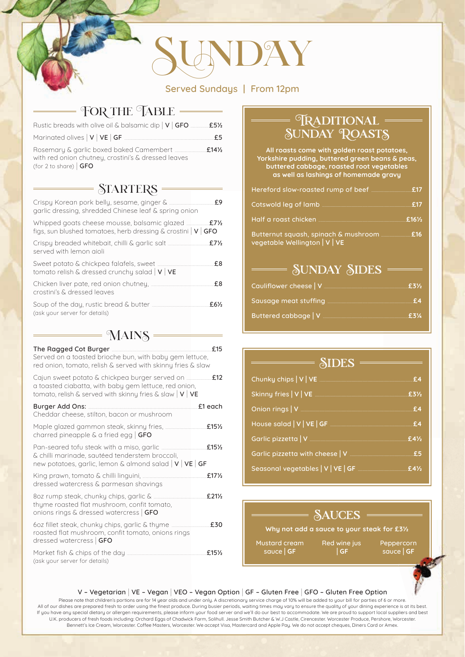# **UNDAY**

Served Sundays | From 12pm

## FOR THE TABLE

| Rustic breads with olive oil & balsamic dip   V   GFO <b>CONCLUTE:</b> E51/2         |      |
|--------------------------------------------------------------------------------------|------|
| Marinated olives $ V VE GF$ .                                                        | £5   |
| with red onion chutney, crostini's & dressed leaves<br>(for 2 to share) $\sqrt{GFO}$ | f14% |

### $\overline{\mathcal{S} \text{IARTERS}} =$

| garlic dressing, shredded Chinese leaf & spring onion                       | £9               |
|-----------------------------------------------------------------------------|------------------|
| figs, sun blushed tomatoes, herb dressing $\&$ crostini $\mid$ V $\mid$ GFO |                  |
| served with lemon aioli                                                     | £7 $\frac{1}{2}$ |
| tomato relish & dressed crunchy salad $ V VE$                               | £8               |
| crostini's & dressed leaves                                                 | £8               |
| (ask your server for details)                                               | £6½              |

#### $MAINS =$

| The Ragged Cot Burger<br>Served on a toasted brioche bun, with baby gem lettuce,<br>red onion, tomato, relish & served with skinny fries & slaw       | f15                             |
|-------------------------------------------------------------------------------------------------------------------------------------------------------|---------------------------------|
| a toasted ciabatta, with baby gem lettuce, red onion,<br>tomato, relish & served with skinny fries & slaw $ V VE$                                     | £12                             |
| Burger Add Ons:<br>Cheddar cheese, stilton, bacon or mushroom                                                                                         | £1 each                         |
| Maple glazed gammon steak, skinny fries,<br>charred pineapple $\&$ a fried egg $\int$ GFO                                                             | £15 <sup>1</sup> / <sub>2</sub> |
| Pan-seared tofu steak with a miso, garlic<br>& chilli marinade, sautéed tenderstem broccoli,<br>new potatoes, garlic, lemon & almond salad $ V VE GF$ | £15 <sup>1</sup> / <sub>2</sub> |
| dressed watercress & parmesan shavings                                                                                                                | £17 <sup>1</sup> / <sub>2</sub> |
| 802 rump steak, chunky chips, garlic &<br>thyme roasted flat mushroom, confit tomato,<br>onions rings & dressed watercress   GFO                      | f.21%                           |
| 60z fillet steak, chunky chips, garlic & thyme<br>roasted flat mushroom, confit tomato, onions rings<br>dressed watercress   GFO                      | £30                             |
| Market fish & chips of the day<br>(ask your server for details)                                                                                       | £15½                            |

## **TRADITIONAL** SUNDAY ROASTS

**All roasts come with golden roast potatoes, Yorkshire pudding, buttered green beans & peas, buttered cabbage, roasted root vegetables as well as lashings of homemade gravy**

| Hereford slow-roasted rump of beef <b>Fig. 2008</b>                                                                                                                                                                                  |         |
|--------------------------------------------------------------------------------------------------------------------------------------------------------------------------------------------------------------------------------------|---------|
|                                                                                                                                                                                                                                      |         |
| Half a roast chicken <b>with a community of the contract of the contract of the contract of the contract of the contract of the contract of the contract of the contract of the contract of the contract of the contract of the </b> | $£16\%$ |
| vegetable Wellington   V   VE                                                                                                                                                                                                        |         |

#### **SUNDAY SIDES** =

| Cauliflower cheese   V      |  |
|-----------------------------|--|
| Sausage meat stuffing       |  |
| <b>Buttered cabbage   V</b> |  |

| $\frac{\sim}{\sim}$ SIDES $\frac{\sim}{\sim}$                                                                         |  |
|-----------------------------------------------------------------------------------------------------------------------|--|
|                                                                                                                       |  |
| Skinny fries   V   VE   THE   THE   THE   THE   THE   THE   THE   THE   THE   THE   THE   THE   THE   THE   TH        |  |
| Onion rings   V <u>Sander Starter and The Starter and Taures and Taures and Taures and Taures and Taures and Taur</u> |  |
|                                                                                                                       |  |
| Garlic pizzetta   V                                                                                                   |  |
|                                                                                                                       |  |
| Seasonal vegetables   V   VE   GF <b>CONCLUSE 12412</b>                                                               |  |

## **SAUCES**

#### **Why not add a sauce to your steak for £3½**

Mustard cream sauce | **GF**

Red wine jus | **GF**

Peppercorn sauce | **GF**

#### V – Vegetarian | VE – Vegan | VEO – Vegan Option | GF – Gluten Free | GFO – Gluten Free Option

Please note that children's portions are for 14 year olds and under only. A discretionary service charge of 10% will be added to your bill for parties of 6 or more All of our dishes are prepared fresh to order using the finest produce. During busier periods, waiting times may vary to ensure the quality of your dining experience is at its best. If you have any special dietary or allergen requirements, please inform your food server and we'll do our best to accommodate. We are proud to support local suppliers and best U.K. producers of fresh foods including: Orchard Eggs of Chadwick Farm, Solihull. Jesse Smith Butcher & W.J Castle, Cirencester. Worcester Produce, Pershore, Worcester. Bennett's Ice Cream, Worcester. Coffee Masters, Worcester. We accept Visa, Mastercard and Apple Pay. We do not accept cheques, Diners Card or Amex.